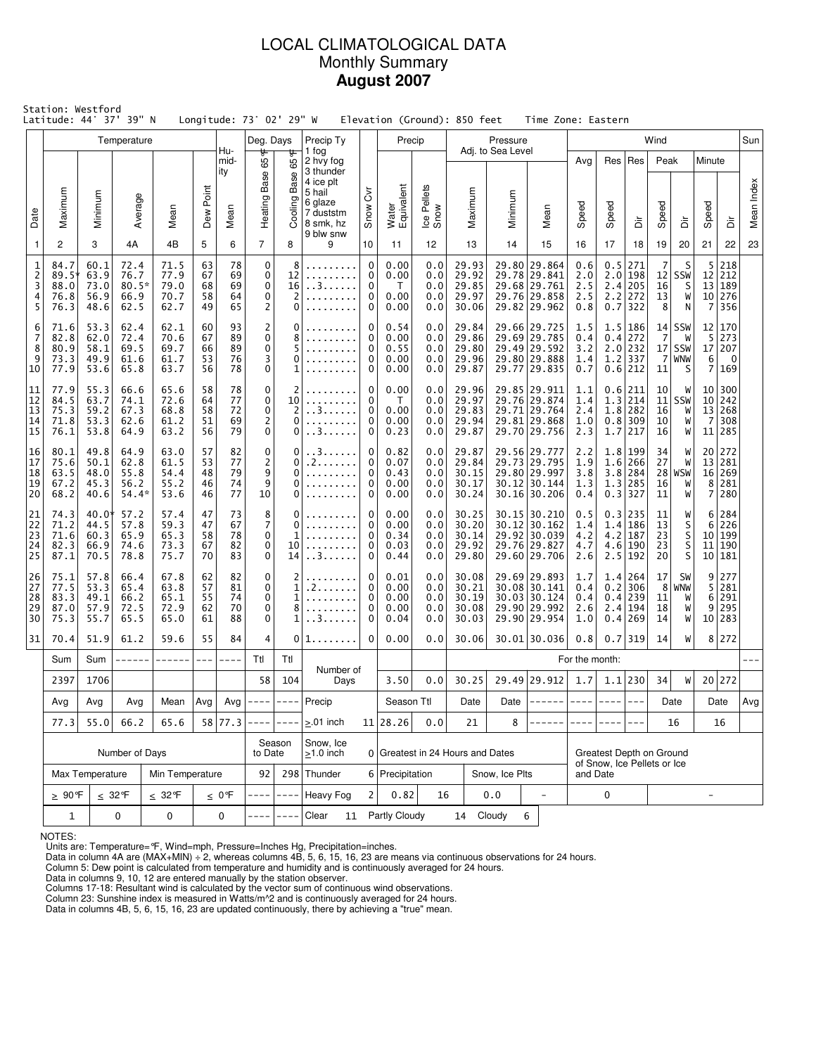### LOCAL CLIMATOLOGICAL DATA Monthly Summary **August 2007**

| Station: Westford<br>Latitude: 44° 37' 39" N<br>Longitude: 73° 02' 29" W |                                                |                                       |                                                                              |                                      |                            |                            |                                                                            |                                  |                                                                                    |                                 |                                      |                                 | Elevation (Ground): 850 feet              |                               | Time Zone: Eastern                                                           |                                                                     |                          |                                                             |                                        |                                       |                                                            |                                                      |            |
|--------------------------------------------------------------------------|------------------------------------------------|---------------------------------------|------------------------------------------------------------------------------|--------------------------------------|----------------------------|----------------------------|----------------------------------------------------------------------------|----------------------------------|------------------------------------------------------------------------------------|---------------------------------|--------------------------------------|---------------------------------|-------------------------------------------|-------------------------------|------------------------------------------------------------------------------|---------------------------------------------------------------------|--------------------------|-------------------------------------------------------------|----------------------------------------|---------------------------------------|------------------------------------------------------------|------------------------------------------------------|------------|
|                                                                          |                                                |                                       | Temperature                                                                  |                                      |                            | Hu-                        | Deg. Days<br>₩                                                             | ᡃᡛ                               | Precip Ty<br>1 fog                                                                 |                                 | Precip                               |                                 |                                           | Pressure<br>Adj. to Sea Level |                                                                              |                                                                     |                          |                                                             | Wind                                   |                                       |                                                            |                                                      | Sun        |
| Date                                                                     | Maximum                                        | Minimum                               | Average                                                                      | Mean                                 | Point<br><b>Dew</b>        | mid-<br>ity<br>Mean        | 65<br>Heating Base                                                         | 65<br>Base<br>Cooling            | 2 hvy fog<br>3 thunder<br>4 ice plt<br>5 hail<br>6 glaze<br>7 duststm<br>8 smk, hz | $\overline{\delta}$<br>Snow     | Water<br>Equivalent                  | Ice Pellets<br>Snow             | Maximum                                   | Minimum                       | Mean                                                                         | Avg<br>Speed                                                        | Speed                    | Res   Res<br>à                                              | Peak<br>Speed                          | ă                                     | Minute<br>Speed                                            | ă                                                    | Mean Index |
| 1                                                                        | 2                                              | 3                                     | 4A                                                                           | 4B                                   | 5                          | 6                          | $\overline{7}$                                                             | 8                                | 9 blw snw<br>9                                                                     | 10                              | 11                                   | 12                              | 13                                        | 14                            | 15                                                                           | 16                                                                  | 17                       | 18                                                          | 19                                     | 20                                    | 21                                                         | 22                                                   | 23         |
| 1<br>$\mathsf{2}\!\!$<br>3<br>4<br>5                                     | 84.7<br>$89.5^{\circ}$<br>88.0<br>76.8<br>76.3 | 60.1<br>63.9<br>73.0<br>56.9<br>48.6  | 72.4<br>76.7<br>$80.5*$<br>66.9<br>62.5                                      | 71.5<br>77.9<br>79.0<br>70.7<br>62.7 | 63<br>67<br>68<br>58<br>49 | 78<br>69<br>69<br>64<br>65 | $\mathbf 0$<br>$\mathbf 0$<br>$\mathbf 0$<br>$\mathbf 0$<br>$\overline{c}$ | 8<br>12<br>16<br>2<br>0          | .<br>.<br>. . 3.                                                                   | 0<br>0<br>0<br>0<br>0           | 0.00<br>0.00<br>T<br>0.00<br>0.00    | 0.0<br>0.0<br>0.0<br>0.0<br>0.0 | 29.93<br>29.92<br>29.85<br>29.97<br>30.06 |                               | 29.80 29.864<br>29.78 29.841<br>29.68 29.761<br>29.76 29.858<br>29.82 29.962 | 0.6<br>2.0<br>2.5<br>2.5<br>0.8                                     | 0.5<br>2.0<br>2.2        | 271<br>  198<br>2.4 205<br>272<br>$0.7$   322               | 7<br>12 <br>16<br>13<br>8              | S<br>SSW<br>S<br>W<br>N               | 5<br>12<br>13<br>7                                         | 218<br>212<br>189<br>10 276<br>356                   |            |
| 6<br>7<br>8<br>9<br>10                                                   | 71.6<br>82.8<br>80.9<br>73.3<br>77.9           | 53.3<br>62.0<br>58.1<br>49.9<br>53.6  | 62.4<br>72.4<br>69.5<br>61.6<br>65.8                                         | 62.1<br>70.6<br>69.7<br>61.7<br>63.7 | 60<br>67<br>66<br>53<br>56 | 93<br>89<br>89<br>76<br>78 | $\overline{c}$<br>$\mathbf 0$<br>$\mathbf 0$<br>3<br>$\mathbf 0$           | 0<br>8<br>0<br>1                 |                                                                                    | 0<br>0<br>0<br>0<br>$\mathbf 0$ | 0.54<br>0.00<br>0.55<br>0.00<br>0.00 | 0.0<br>0.0<br>0.0<br>0.0<br>0.0 | 29.84<br>29.86<br>29.80<br>29.96<br>29.87 |                               | 29.66 29.725<br>29.69 29.785<br>29.49 29.592<br>29.80 29.888<br>29.77 29.835 | 1.5<br>0.4<br>3.2<br>1.4<br>0.7                                     |                          | 1.5 186<br>0.4 272<br>$2.0$ 232<br>$1.2$ 337<br>$0.6$   212 | 7<br>7<br>11                           | $14$ SSW<br>W<br>$17$ SSW<br>WNW<br>S | 12<br>5<br>17<br>6<br>$\overline{7}$                       | 170<br>273<br>207<br>$\overline{\phantom{0}}$<br>169 |            |
| 11<br>12<br>13<br>14<br>15                                               | 77.9<br>84.5<br>75.3<br>71.8<br>76.1           | 55.3<br>63.7<br>59.2<br>53.3<br>53.8  | 66.6<br>74.1<br>67.3<br>62.6<br>64.9                                         | 65.6<br>72.6<br>68.8<br>61.2<br>63.2 | 58<br>64<br>58<br>51<br>56 | 78<br>77<br>72<br>69<br>79 | 0<br>$\mathbf 0$<br>$\pmb{0}$<br>$\mathsf{2}\!\!$<br>$\pmb{0}$             | 2<br>10<br>2<br>0<br>0           | . . 3.<br>. . 3                                                                    | 0<br>0<br>0<br>0<br>$\pmb{0}$   | 0.00<br>T.<br>0.00<br>0.00<br>0.23   | 0.0<br>0.0<br>0.0<br>0.0<br>0.0 | 29.96<br>29.97<br>29.83<br>29.94<br>29.87 |                               | 29.85 29.911<br>29.76 29.874<br>29.71 29.764<br>29.81 29.868<br>29.70 29.756 | 1.1<br>1.4<br>2.4<br>1.0<br>2.3                                     |                          | 0.6 211<br>1.3 214<br>$1.8$ 282<br>$0.8$ 309<br>1.7 217     | 10<br>11<br>16<br>10<br>16             | W<br>SSW<br>W<br>W<br>W               | 10 <sub>1</sub><br>10 <sup>1</sup><br>13<br>$\overline{7}$ | 300<br>242<br>268<br>308<br>11 285                   |            |
| 16<br>17<br>18<br>19<br>20                                               | 80.1<br>75.6<br>63.5<br>67.2<br>68.2           | 49.8<br>50.1<br>48.0<br>45.3<br>40.6  | 64.9<br>62.8<br>55.8<br>56.2<br>$54.4*$                                      | 63.0<br>61.5<br>54.4<br>55.2<br>53.6 | 57<br>53<br>48<br>46<br>46 | 82<br>77<br>79<br>74<br>77 | 0<br>$\overline{c}$<br>9<br>9<br>10                                        | 0<br>0<br>0<br>0<br>0            | . . 3<br>. 2<br>.                                                                  | 0<br>0<br>0<br>0<br>0           | 0.82<br>0.07<br>0.43<br>0.00<br>0.00 | 0.0<br>0.0<br>0.0<br>0.0<br>0.0 | 29.87<br>29.84<br>30.15<br>30.17<br>30.24 |                               | 29.56 29.777<br>29.73 29.795<br>29.80 29.997<br>30.12 30.144<br>30.16 30.206 | 2.2<br>1.9<br>3.8<br>1.3<br>0.4                                     |                          | 1.8 199<br>1.6 266<br>$3.8$ 284<br>1.3 285<br>$0.3$ 327     | 34<br>27<br>16<br>11                   | W<br>W<br>$28$ WSW<br>W<br>W          | 20 <sub>1</sub><br>13<br>16<br>8<br>7                      | 272<br>281<br>269<br>281<br>280                      |            |
| 21<br>22<br>23<br>24<br>25                                               | 74.3<br>71.2<br>71.6<br>82.3<br>87.1           | 40.0*<br>44.5<br>60.3<br>66.9<br>70.5 | 57.2<br>57.8<br>65.9<br>74.6<br>78.8                                         | 57.4<br>59.3<br>65.3<br>73.3<br>75.7 | 47<br>47<br>58<br>67<br>70 | 73<br>67<br>78<br>82<br>83 | 8<br>7<br>$\mathbf 0$<br>0<br>0                                            | 0<br>0<br>1<br>10<br>14          | . . 3.                                                                             | 0<br>0<br>0<br>0<br>0           |                                      | 0.0<br>0.0<br>0.0<br>0.0<br>0.0 | 30.25<br>30.20<br>30.14<br>29.92<br>29.80 |                               | 30.15 30.210<br>30.12 30.162<br>29.92 30.039<br>29.76 29.827<br>29.60 29.706 | 0.5<br>1.4<br>4.2<br>4.7<br>2.6                                     |                          | 0.3 235<br>1.4 186<br>$4.2$   187<br>4.6 190<br>$2.5$   192 | 11<br>13<br>23<br>23<br>20             | W<br>S<br>S<br>$\frac{5}{5}$          | 6<br>6<br>10 <sup>1</sup><br>11                            | 284<br>226<br>199<br>190<br>10 181                   |            |
| 26<br>27<br>28<br>29<br>30                                               | 75.1<br>77.5<br>83.3<br>87.0<br>75.3           | 57.8<br>53.3<br>49.1<br>57.9<br>55.7  | 66.4<br>65.4<br>66.2<br>72.5<br>65.5                                         | 67.8<br>63.8<br>65.1<br>72.9<br>65.0 | 62<br>57<br>55<br>62<br>61 | 82<br>81<br>74<br>70<br>88 | 0<br>0<br>0<br>0<br>0                                                      | 2<br>1<br>$\mathbf{1}$<br>8<br>1 | . 2<br>. . 3. .                                                                    | 0<br>0<br>0<br>0<br>0           |                                      | 0.0<br>0.0<br>0.0<br>0.0<br>0.0 | 30.08<br>30.21<br>30.19<br>30.08<br>30.03 |                               | 29.69 29.893<br>30.08 30.141<br>30.03 30.124<br>29.90 29.992<br>29.90 29.954 | 1.7<br>0.4<br>0.4<br>2.6<br>1.0                                     |                          | 1.4 264<br>$0.2$   306<br>0.4 239<br>2.4 194<br>0.4 269     | 17<br>8 <sup>1</sup><br>11<br>18<br>14 | SW<br>WNW<br>W<br>W<br>W              | 9<br>5<br>6<br>9                                           | 277<br>281<br>291<br>295<br>10 283                   |            |
| 31                                                                       | 70.4                                           | 51.9                                  | 61.2                                                                         | 59.6                                 | 55                         | 84                         | 4                                                                          | 0                                | 1.                                                                                 | 0                               | 0.00                                 | 0.0                             | 30.06                                     |                               | 30.01 30.036                                                                 | 0.8                                                                 |                          | $0.7$   319                                                 | 14                                     | W                                     |                                                            | 8 272                                                |            |
|                                                                          | Sum                                            | Sum                                   | ------                                                                       | $- - - - - -$                        | $---$                      | $---$                      | Ttl                                                                        | Ttl                              | Number of                                                                          |                                 |                                      |                                 |                                           |                               |                                                                              | For the month:                                                      |                          |                                                             |                                        |                                       |                                                            |                                                      |            |
|                                                                          | 2397                                           | 1706                                  |                                                                              |                                      |                            |                            | 58                                                                         | 104                              | Days                                                                               |                                 | 3.50                                 | 0.0                             | 30.25                                     |                               | 29.49 29.912                                                                 | 1.7                                                                 |                          | $1.1$   230                                                 | 34                                     | W                                     |                                                            | 20 272                                               |            |
|                                                                          | Avg                                            | Avg                                   | Avg<br>66.2                                                                  | Mean<br>65.6                         | Avg                        | 58 77.3                    | Avg $ -----$                                                               | $- - - - -$                      | Precip<br>$> 01$ inch                                                              |                                 | Season Ttl<br>$11$   28.26           | 0.0                             | Date<br>21                                | Date<br>8                     |                                                                              |                                                                     | $- - - - -$              | $---$                                                       |                                        | Date<br>16                            |                                                            | Date                                                 | Avg        |
|                                                                          | 77.3                                           | 55.0                                  | Number of Days                                                               |                                      |                            |                            | to Date                                                                    | Season                           | Snow, Ice<br>$\geq$ 1.0 inch                                                       |                                 |                                      |                                 | 0 Greatest in 24 Hours and Dates          |                               |                                                                              |                                                                     |                          |                                                             |                                        |                                       |                                                            | 16                                                   |            |
|                                                                          |                                                | Max Temperature                       |                                                                              | Min Temperature                      |                            |                            | 92                                                                         |                                  | 298 Thunder                                                                        |                                 | 6 Precipitation                      |                                 |                                           | Snow, Ice Plts                |                                                                              | Greatest Depth on Ground<br>of Snow, Ice Pellets or Ice<br>and Date |                          |                                                             |                                        |                                       |                                                            |                                                      |            |
|                                                                          | <u>&gt;</u> 90℉                                |                                       | $\leq 32^{\circ}$ F                                                          | $\leq$ 32°F                          |                            | $\leq 0$ °F                |                                                                            |                                  | Heavy Fog                                                                          | $\overline{2}$                  | 0.82                                 | 16                              |                                           | 0.0                           | $\overline{a}$                                                               |                                                                     | $\overline{\phantom{0}}$ |                                                             |                                        |                                       |                                                            |                                                      |            |
|                                                                          | $\mathbf{1}$                                   |                                       | $\mathbf 0$<br>0<br>0<br>0<br>Partly Cloudy<br>14 Cloudy<br>6<br>Clear<br>11 |                                      |                            |                            |                                                                            |                                  |                                                                                    |                                 |                                      |                                 |                                           |                               |                                                                              |                                                                     |                          |                                                             |                                        |                                       |                                                            |                                                      |            |

NOTES:

Units are: Temperature=°F, Wind=mph, Pressure=Inches Hg, Precipitation=inches. Data in column 4A are (MAX+MIN) ÷ 2, whereas columns 4B, 5, 6, 15, 16, 23 are means via continuous observations for 24 hours.

Column 5: Dew point is calculated from temperature and humidity and is continuously averaged for 24 hours.

Data in columns 9, 10, 12 are entered manually by the station observer.

Columns 17-18: Resultant wind is calculated by the vector sum of continuous wind observations.<br>Column 23: Sunshine index is measured in Watts/m^2 and is continuously averaged for 24 hours.<br>Data in columns 4B, 5, 6, 15, 16,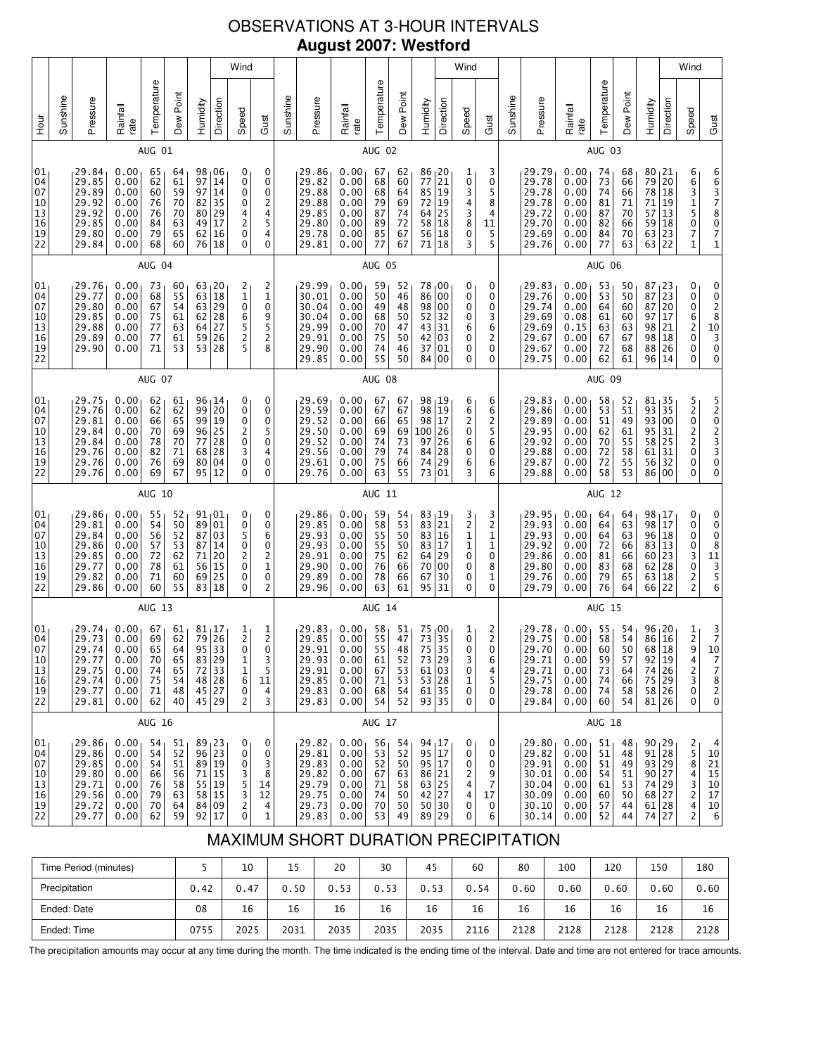# OBSERVATIONS AT 3-HOUR INTERVALS **August 2007: Westford**

| 10<br>13<br>16<br>19<br>22                                                                                                                                                             | 01<br>04<br>07 | 01<br>04<br>07<br>10<br>13<br>16<br>19<br>22 |        | 01<br>04<br>07<br>10<br>13<br>16<br>19<br>22                                 |               | 01<br>04<br>07<br>$\begin{array}{c} 10 \\ 13 \end{array}$<br>16<br>19<br>22                                              |               | 01<br>04<br>07<br>10<br>$\begin{array}{c} 13 \\ 16 \end{array}$<br>19<br>22 |        | Hour             |
|----------------------------------------------------------------------------------------------------------------------------------------------------------------------------------------|----------------|----------------------------------------------|--------|------------------------------------------------------------------------------|---------------|--------------------------------------------------------------------------------------------------------------------------|---------------|-----------------------------------------------------------------------------|--------|------------------|
|                                                                                                                                                                                        |                |                                              |        |                                                                              |               |                                                                                                                          |               |                                                                             |        | Sunshine         |
| 29.86<br>29.81<br>29.84<br>29.86<br>29.85<br>29.77<br>29.82<br>29.86<br>29.74<br>29.73<br>29.74<br>29.77<br>29.75<br>29.74<br>29.77<br>29.81                                           |                |                                              |        | 29.75<br>29.76<br>29.81<br>29.84<br>29.84<br>29.76<br>29.76<br>29.76         |               | 29.76<br>29.77<br>29.80<br>29.85<br>29.88<br>29.89<br>29.90                                                              |               | 29.84<br>29.85<br>29.89<br>29.92<br>29.92<br>29.85<br>29.80<br>29.84        |        | Pressure         |
| 0.00<br>0.00<br>0.00<br>0.00<br>0.00<br>0.00<br>0.00<br>0.00<br>0.00<br>0.00<br>0.00<br>0.00<br>0.00<br>0.00<br>0.00<br>0.00                                                           |                |                                              |        | 0.00<br>0.00<br>0.00<br>0.00<br>0.00<br>0.00<br>0.00<br>0.00                 |               | 0.00<br>0.00<br>0.00<br>0.00<br>0.00<br>0.00<br>0.00                                                                     |               | 0.00<br>0.00<br>0.00<br>0.00<br>0.00<br>0.00<br>0.00<br>0.00                |        | Rainfall<br>rate |
| 55<br>54<br>56<br>57<br>72<br>78<br>71<br>60<br>AUG 13<br>67<br>69<br>- 65<br>70<br>74<br>75<br>71<br>62<br><b>AUG 16</b>                                                              |                |                                              | AUG 10 | 62<br>62<br>66<br>70<br>78<br>82<br>76<br>69                                 | AUG 07        | 73<br>68<br>67<br>75<br>77<br>77<br>71                                                                                   | AUG 04        | 65<br>62<br>60<br>76<br>76<br>84<br>79<br>68                                | AUG 01 | Temperature      |
| 52<br>50<br>52<br>53<br>62<br>61<br>60<br>55<br>61<br>62<br>64<br>65<br>65<br>54<br>48<br>40                                                                                           |                |                                              |        | 61<br>62<br>65<br>69<br>70<br>71<br>69<br>67                                 |               | 60<br>55<br>54<br>61<br>63<br>61<br>53                                                                                   |               | 64<br>61<br>59<br>70<br>70<br>63<br>65<br>60                                |        | Dew Point        |
| 89<br>$87\,$<br>87<br>$\begin{array}{c} 71 \\ 20 \\ 56 \end{array}$<br>69<br>83 29<br>72 33<br>48 28<br>45 27<br>45 29                                                                 |                |                                              |        | 99<br>99<br>96<br>$77\,$<br>68 28<br>80<br>95 12                             |               | $\begin{array}{ c} 63 & 20 \\ 63 & 18 \end{array}$<br>63 29<br>$\begin{array}{c c} 62 & 28 \\ 64 & 27 \end{array}$<br>59 |               | 98<br>97<br>97<br>82<br>80<br>49<br>62<br>76 18                             |        | Humidity         |
| $91_101$<br>01<br>03<br>14<br>25<br>83 18<br>$\begin{array}{c c} 81 & 17 \\ 79 & 26 \end{array}$<br>$95 \mid 33$                                                                       |                |                                              |        | 96 14<br>20<br>19<br>25<br>28<br>04                                          |               | 26<br>53 28                                                                                                              |               | 06<br>14<br>14<br>$\frac{1}{35}$<br>$\frac{29}{17}$<br>16                   |        | Direction        |
| 0<br>0<br>5<br>$\mathbf{0}$<br>$\overline{\mathbf{c}}$<br>$\pmb{0}$<br>0<br>0<br>$\frac{1}{2}$<br>$\Omega$<br>1<br>1<br>6<br>0<br>2                                                    |                |                                              |        | 0<br>0<br>0<br>2<br>$\boldsymbol{0}$<br>3<br>$\pmb{0}$<br>0                  |               | 2<br>$\mathbf{1}$<br>0<br>6<br>5<br>2<br>5                                                                               |               | 0<br>0<br>0<br>0<br>4<br>$\overline{\mathbf{c}}$<br>0<br>0                  |        | Wind<br>Speed    |
| 0<br>0<br>6<br>0<br>$\overline{\mathbf{c}}$<br>$\mathbf 1$<br>0<br>2<br>$\frac{1}{2}$<br>$\overline{0}$<br>3<br>5<br>11<br>4<br>3                                                      |                |                                              |        | 0<br>0<br>0<br>5<br>0<br>4<br>0<br>0                                         |               | 2<br>$\mathbf 1$<br>0<br>9<br>5<br>$\overline{\mathbf{c}}$<br>8                                                          |               | 0<br>0<br>0<br>2<br>4<br>5<br>4<br>0                                        |        | Gust             |
|                                                                                                                                                                                        |                |                                              |        |                                                                              |               |                                                                                                                          |               |                                                                             |        | Sunshine         |
| 29.86<br>29.85<br>29.93<br>29.93<br>29.91<br>29.90<br>29.89<br>29.96<br>29.83<br>29.85<br>29.91<br>29.93<br>29.91<br>29.85<br>29.83<br>29.83                                           |                |                                              |        | 29.69<br>29.59<br>29.52<br>29.50<br>29.52<br>29.56<br>29.61<br>29.76         |               | 29.99<br>30.01<br>30.04<br>30.04<br>29.99<br>29.91<br>29.90<br>29.85                                                     |               | 29.86<br>29.82<br>29.88<br>29.88<br>29.85<br>29.80<br>29.78<br>29.81        |        | Pressure         |
| 0.00<br>0.00<br>0.00<br>0.00<br>0.00<br>0.00<br>0.00<br>0.00<br>0.00<br>0.00<br>0.00<br>0.00<br>0.00<br>0.00<br>0.00<br>0.00                                                           |                |                                              |        | 0.00<br>0.00<br>0.00<br>0.00<br>0.00<br>0.00<br>0.00<br>0.00                 |               | 0.00<br>0.00<br>0.00<br>0.00<br>0.00<br>0.00<br>0.00<br>0.00                                                             |               | 0.00<br>0.00<br>0.00<br>0.00<br>0.00<br>0.00<br>0.00<br>0.00                |        | Rainfall<br>rate |
| 59<br>58<br>55<br>55<br>75<br>76<br>78<br>63<br>AUG 14<br>58<br>55<br>55<br>61<br>67<br>71<br>68<br>54<br>AUG 17                                                                       |                |                                              | AUG 11 | 67<br>67<br>66<br>69<br>74<br>79<br>75<br>63                                 | <b>AUG 08</b> | 59<br>50<br>49<br>68<br>70<br>75<br>74<br>55                                                                             | <b>AUG 05</b> | 67<br>68<br>68<br>79<br>87<br>89<br>85<br>77                                | AUG 02 | Temperature      |
| 54<br>53<br>50<br>50<br>62<br>66<br>66<br>61<br>51<br>47<br>48<br>52<br>53<br>53<br>54<br>52                                                                                           |                |                                              |        | 67<br>67<br>65<br>69<br>73<br>74<br>66<br>55                                 |               | 52<br>46<br>48<br>50<br>47<br>50<br>46<br>50                                                                             |               | 62<br>60<br>64<br>69<br>74<br>72<br>67<br>67                                |        | Dew Point        |
| 83, 19<br>83 21<br>83 16<br>83 17<br>64 29<br>70 00<br>67<br>95<br>75<br>73<br>75<br>73 29<br>61 03<br>53 28<br>$61$   35<br>93 35                                                     |                |                                              |        | 98 <sub>1</sub> 19<br>98 19<br>98 17<br>100 26<br>97<br>84<br>74 29<br>73 01 |               | 78,00<br>86 00<br>98 00<br>52 32<br>43 31<br>42<br>37<br>84 00                                                           |               | 86 20<br>77<br>85 19<br>72 19<br>$64$ 25<br>58 18<br>56 18<br>71            |        | Humidity         |
| 30<br>31<br>$\begin{array}{ c} 00 \\ 35 \end{array}$<br>35                                                                                                                             |                |                                              |        | 26<br>28                                                                     |               | 03<br>  01                                                                                                               |               | 21<br>18                                                                    |        | Direction        |
| 3<br>$\frac{2}{1}$<br>1<br>0<br>0<br>0<br>0<br>$\frac{1}{0}$<br>$\Omega$<br>3<br>0<br>1<br>0<br>0                                                                                      |                |                                              |        | 6<br>6<br>2<br>0<br>6<br>0<br>6<br>3                                         |               | 0<br>0<br>0<br>0<br>6<br>0<br>0<br>0                                                                                     |               | 1<br>0<br>3<br>4<br>3<br>8<br>0<br>3                                        |        | Wind<br>Speed    |
| 3<br>2<br>1<br>1<br>0<br>8<br>1<br>0<br>$\frac{2}{2}$<br>$\Omega$<br>6<br>4<br>5<br>0<br>0                                                                                             |                |                                              |        | 6<br>6<br>2<br>5<br>6<br>0<br>6<br>6                                         |               | 0<br>0<br>0<br>3<br>6<br>2<br>0<br>0                                                                                     |               | 3<br>0<br>5<br>8<br>4<br>11<br>5<br>5                                       |        | Gust             |
|                                                                                                                                                                                        |                |                                              |        |                                                                              |               |                                                                                                                          |               |                                                                             |        | Sunshine         |
| 29.95<br>29.93<br>29.93<br>29.92<br>29.86<br>29.80<br>29.76<br>29.79<br>29.78<br>29.75<br>29.70<br>29.71<br>29.71<br>29.75<br>29.78<br>29.84                                           |                |                                              |        | 29.83<br>29.86<br>29.89<br>29.95<br>29.92<br>29.88<br>29.87<br>29.88         |               | 29.83<br>29.76<br>29.74<br>29.69<br>29.69<br>29.67<br>29.67<br>29.75                                                     |               | 29.79<br>29.78<br>29.78<br>29.78<br>29.72<br>29.70<br>29.69<br>29.76        |        | Pressure         |
| 0.00<br>0.00<br>0.00<br>0.00<br>0.00<br>0.00<br>0.00<br>0.00<br>0.00 <sub>1</sub><br>0.00<br>0.00<br>0.00<br>0.00<br>0.00<br>0.00<br>0.00                                              |                |                                              |        | 0.00<br>0.00<br>0.00<br>0.00<br>0.00<br>0.00<br>0.00<br>0.00                 |               | 0.000000<br>0.00<br>0.08<br>0.15<br>0.00<br>0.00<br>0.00                                                                 |               | 0.00<br>0.00<br>0.00<br>0.00<br>0.00<br>0.00<br>0.00<br>0.00                |        | Rainfall<br>rate |
| 64<br>64<br>64<br>72<br>81<br>83<br>79<br>76<br><b>AUG 15</b><br>55<br>58<br>60 l<br>59<br>73<br>74<br>74<br>60<br>AUG 18                                                              |                |                                              | AUG 12 | 58<br>53<br>51<br>62<br>70<br>72<br>72<br>58                                 | <b>AUG 09</b> | 53<br>53<br>64<br>61<br>63<br>67<br>72<br>62                                                                             | AUG 06        | 74<br>73<br>74<br>81<br>87<br>82<br>84<br>77                                | AUG 03 | Temperature      |
| 64<br>63<br>63<br>66<br>66<br>68<br>65<br>64<br>54<br>54<br>50<br>57<br>64<br>66<br>58<br>54                                                                                           |                |                                              |        | 52<br>51<br>49<br>61<br>55<br>58<br>55<br>53                                 |               | 50<br>50<br>60<br>60<br>63<br>67<br>68<br>61                                                                             |               | 68<br>66<br>66<br>71<br>70<br>66<br>70<br>63                                |        | Dew Point        |
| 98 17<br>98 17<br>96 18<br>83 13<br>60<br>62 28<br>63<br>66 22<br>68 18<br>92<br>74 26<br>75 29<br>58 26<br>81 26                                                                      |                |                                              |        | 81,35<br>93 35<br>93 00<br>95 31<br>58<br>61<br>56 32                        |               | 87<br>87<br>87<br>97<br>98<br>98<br>88                                                                                   |               | 80 21<br>79<br>78<br>71<br>57<br>59<br>63<br>63                             |        | Humidity         |
| 23<br>18<br>$\frac{96}{86}$ $\left  \frac{20}{16} \right $<br>  19                                                                                                                     |                |                                              |        | 25<br>31<br>86 00                                                            |               | $\begin{array}{c} 23 \\ 23 \end{array}$<br> 20<br>17<br> 21<br> 18<br>26<br>96 14                                        |               | 20<br> 18<br>19<br>13<br>18<br>23<br>22                                     |        | Direction        |
| 0<br>0<br>0<br>0<br>3<br>$\mathbf 0$<br>2<br>$\overline{c}$<br>1<br>2<br>9<br>4<br>2<br>3<br>0<br>0                                                                                    |                |                                              |        | 52022<br>0<br>0<br>0                                                         |               | 0<br>0<br>0<br>$\begin{array}{c} 6 \\ 2 \end{array}$<br>0<br>0<br>0                                                      |               | 6<br>63150<br>7<br>1                                                        |        | Wind<br>Speed    |
| 0<br>0<br>$\frac{0}{8}$<br>$\begin{array}{c}\n 11 \\  3 \\  5 \\  6\n \end{array}$<br>$\frac{3}{7}$<br>10<br>7<br>$\overline{7}$<br>$\begin{array}{c} 8 \\ 2 \end{array}$<br>$\pmb{0}$ |                |                                              |        | 5202330<br>0                                                                 |               | 0<br>$0$<br>$2$<br>$8$<br>$10$<br>$3$<br>$\pmb{0}$<br>0                                                                  |               | 66378071                                                                    |        | Gust             |

# MAXIMUM SHORT DURATION PRECIPITATION

| Time Period (minutes) |      | 10   | 15   | 20   | 30   | 45   | 60   | 80   | 100  | 120  | 150  | 180  |
|-----------------------|------|------|------|------|------|------|------|------|------|------|------|------|
| Precipitation         | 0.42 | 0.47 | 0.50 | 0.53 | 0.53 | 0.53 | 0.54 | 0.60 | 0.60 | 0.60 | 0.60 | 0.60 |
| Ended: Date           | 08   | 16   | 16   | 16   | 16   | 16   | 16   | 16   | 16   | 16   | 16   | 16   |
| Ended: Time           | 0755 | 2025 | 2031 | 2035 | 2035 | 2035 | 2116 | 2128 | 2128 | 2128 | 2128 | 2128 |

The precipitation amounts may occur at any time during the month. The time indicated is the ending time of the interval. Date and time are not entered for trace amounts.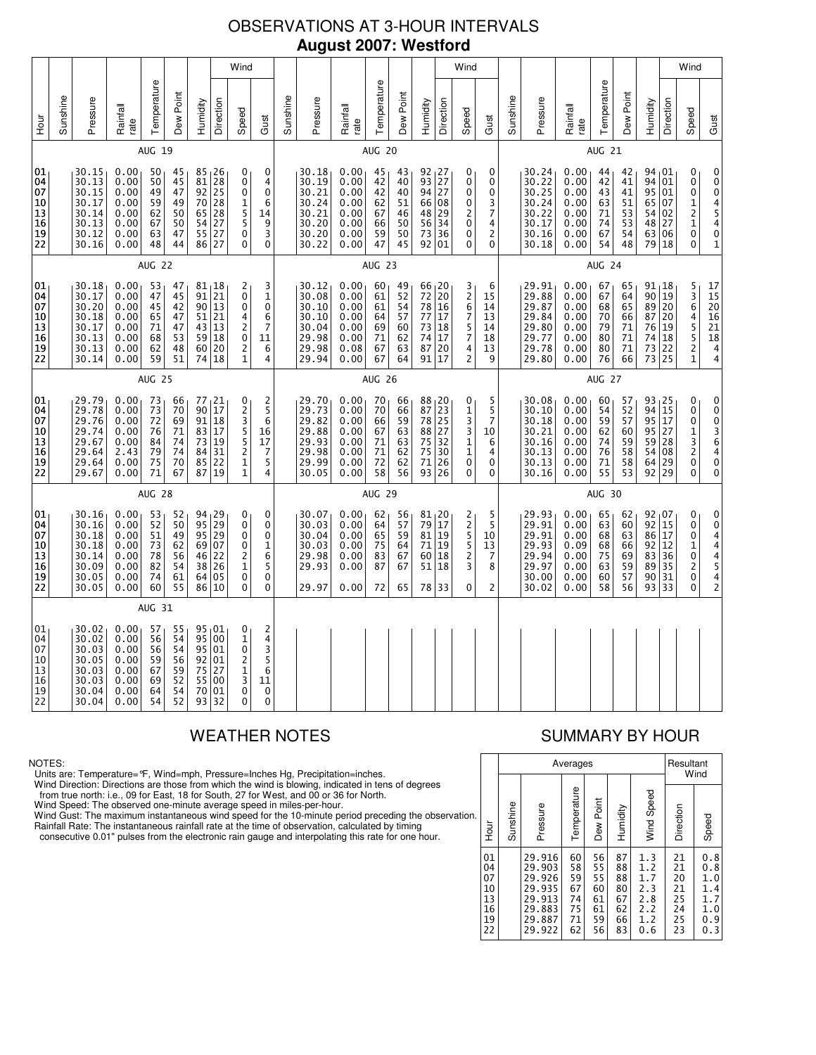### OBSERVATIONS AT 3-HOUR INTERVALS **August 2007: Westford**

|                                                                                             | Wind     |                                                                      |                                                              |                                              |                                              |                                                     |                                                                 |                                                                                 |                                                         |               |                                                                      |                                                              |                                              |                                              |                                                              |                                        | Wind                                                     |                                                    |          |                                                                      |                                                              |                                              |                                              |                                                           |                                  | Wind                                                                                        |                                                                                                             |
|---------------------------------------------------------------------------------------------|----------|----------------------------------------------------------------------|--------------------------------------------------------------|----------------------------------------------|----------------------------------------------|-----------------------------------------------------|-----------------------------------------------------------------|---------------------------------------------------------------------------------|---------------------------------------------------------|---------------|----------------------------------------------------------------------|--------------------------------------------------------------|----------------------------------------------|----------------------------------------------|--------------------------------------------------------------|----------------------------------------|----------------------------------------------------------|----------------------------------------------------|----------|----------------------------------------------------------------------|--------------------------------------------------------------|----------------------------------------------|----------------------------------------------|-----------------------------------------------------------|----------------------------------|---------------------------------------------------------------------------------------------|-------------------------------------------------------------------------------------------------------------|
| Hour                                                                                        | Sunshine | Pressure                                                             | Rainfall<br>rate                                             | Temperature                                  | Dew Point                                    | Humidity                                            | Direction                                                       | Speed                                                                           | Gust                                                    | Sunshine      | Pressure                                                             | Rainfall<br>rate                                             | Temperature                                  | Dew Point                                    | Humidity                                                     | Direction                              | Speed                                                    | Gust                                               | Sunshine | Pressure                                                             | Rainfall<br>rate                                             | Temperature                                  | Dew Point                                    | Humidity                                                  | Direction                        | Speed                                                                                       | Gust                                                                                                        |
|                                                                                             |          |                                                                      |                                                              | AUG 19                                       |                                              |                                                     |                                                                 |                                                                                 |                                                         |               |                                                                      |                                                              | <b>AUG 20</b>                                |                                              |                                                              |                                        |                                                          |                                                    |          |                                                                      |                                                              | <b>AUG 21</b>                                |                                              |                                                           |                                  |                                                                                             |                                                                                                             |
| 01<br>04<br>07<br>10<br>$\begin{array}{c} 13 \\ 16 \end{array}$<br>19<br>22                 |          | 30.15<br>30.13<br>30.15<br>30.17<br>30.14<br>30.13<br>30.12<br>30.16 | 0.00<br>0.00<br>0.00<br>0.00<br>0.00<br>0.00<br>0.00<br>0.00 | 50<br>50<br>49<br>59<br>62<br>67<br>63<br>48 | 45<br>45<br>47<br>49<br>50<br>50<br>47<br>44 | 81<br>$\overline{92}$<br>70<br>65<br>54<br>55<br>86 | $85 + 26$<br>28<br>25<br>28<br>28<br>27<br>27<br>27             | 0<br>0<br>0<br>1<br>$\overline{5}$<br>5<br>0<br>0                               | 0<br>4<br>0<br>6<br>14<br>9<br>3<br>0                   |               | 30.18<br>30.19<br>30.21<br>30.24<br>30.21<br>30.20<br>30.20<br>30.22 | 0.00<br>0.00<br>0.00<br>0.00<br>0.00<br>0.00<br>0.00<br>0.00 | 45<br>42<br>42<br>62<br>67<br>66<br>59<br>47 | 43<br>40<br>40<br>51<br>46<br>50<br>50<br>45 | $92 \mid 27$<br>93<br>94<br>66<br>48<br>56<br>73<br>92       | 27<br>27<br>08<br>29<br>34<br>36<br>01 | 0<br>0<br>0<br>0<br>2<br>0<br>0<br>0                     | 0<br>0<br>0<br>3<br>7<br>4<br>2<br>$\mathbf{0}$    |          | 30.24<br>30.22<br>30.25<br>30.24<br>30.22<br>30.17<br>30.16<br>30.18 | 0.00<br>0.00<br>0.00<br>0.00<br>0.00<br>0.00<br>0.00<br>0.00 | 44<br>42<br>43<br>63<br>71<br>74<br>67<br>54 | 42<br>41<br>41<br>51<br>53<br>53<br>54<br>48 | 94,01<br>94<br>95<br>65<br>54<br>48 27<br>63<br>79 18     | 01<br>01<br>07<br>02<br>06       | 0<br>0<br>$\ddot{\mathbf{0}}$<br>$\frac{1}{2}$<br>0<br>0                                    | 0<br>$\begin{matrix} 0 \\ 0 \end{matrix}$<br>$\begin{array}{c} 4 \\ 5 \\ 4 \end{array}$<br>0<br>$\mathbf 1$ |
|                                                                                             |          |                                                                      |                                                              | AUG 22                                       |                                              |                                                     |                                                                 |                                                                                 |                                                         |               |                                                                      |                                                              | <b>AUG 23</b>                                |                                              |                                                              |                                        |                                                          |                                                    |          |                                                                      |                                                              | AUG 24                                       |                                              |                                                           |                                  |                                                                                             |                                                                                                             |
| 01<br>04<br>07<br>10<br>$ 13\rangle$<br>16<br>19<br>22                                      |          | 30.18<br>30.17<br>30.20<br>30.18<br>30.17<br>30.13<br>30.13<br>30.14 | 0.00<br>0.00<br>0.00<br>0.00<br>0.00<br>0.00<br>0.00<br>0.00 | 53<br>47<br>45<br>65<br>71<br>68<br>62<br>59 | 47<br>45<br>42<br>47<br>47<br>53<br>48<br>51 | 91<br>$90\,$<br>51<br>43<br>59<br>60<br>74          | 81,18<br>21<br>13<br>21<br>13<br>18<br>20<br>18                 | 2<br>$\mathbf 0$<br>0<br>4<br>2<br>0<br>$\overline{\mathbf{c}}$<br>$\mathbf{1}$ | 3<br>$\mathbf{1}$<br>0<br>6<br>7<br>11<br>6<br>4        |               | 30.12<br>30.08<br>30.10<br>30.10<br>30.04<br>29.98<br>29.98<br>29.94 | 0.00<br>0.00<br>0.00<br>0.00<br>0.00<br>0.00<br>0.08<br>0.00 | 60<br>61<br>61<br>64<br>69<br>71<br>67<br>67 | 49<br>52<br>54<br>57<br>60<br>62<br>63<br>64 | 66 20<br>72 20<br>78<br>77<br>73<br>74<br>87<br>91           | 16<br>17<br>18<br>17<br>20<br>17       | 3<br>2<br>6<br>7<br>5<br>7<br>4<br>2                     | 6<br>15<br>14<br>13<br>14<br>18<br>13<br>9         |          | 29.91<br>29.88<br>29.87<br>29.84<br>29.80<br>29.77<br>29.78<br>29.80 | 0.00<br>0.00<br>0.00<br>0.00<br>0.00<br>0.00<br>0.00<br>0.00 | 67<br>67<br>68<br>70<br>79<br>80<br>80<br>76 | 65<br>64<br>65<br>66<br>71<br>71<br>71<br>66 | 91,18<br>90 19<br>89<br>87<br>76<br>74<br>73<br>73        | 20<br>20<br>19<br>18<br>22<br>25 | 5<br>3<br>6<br>4<br>5<br>5<br>$\overline{c}$<br>$\mathbf{1}$                                | $\begin{array}{c} 17 \\ 15 \end{array}$<br>$20\,$<br>$\frac{16}{21}$<br>18<br>$\frac{4}{4}$                 |
|                                                                                             |          |                                                                      |                                                              | <b>AUG 25</b>                                |                                              |                                                     |                                                                 |                                                                                 |                                                         |               |                                                                      |                                                              | AUG 26                                       |                                              |                                                              |                                        |                                                          |                                                    |          |                                                                      |                                                              | AUG 27                                       |                                              |                                                           |                                  |                                                                                             |                                                                                                             |
| 01<br>04<br>07<br>10<br>$\overline{\mathsf{13}}$<br>$\vert$ 16<br>19<br>22                  |          | 29.79<br>29.78<br>29.76<br>29.74<br>29.67<br>29.64<br>29.64<br>29.67 | 0.00<br>0.00<br>0.00<br>0.00<br>0.00<br>2.43<br>0.00<br>0.00 | 73<br>73<br>72<br>76<br>84<br>79<br>75<br>71 | 66<br>70<br>69<br>71<br>74<br>74<br>70<br>67 | 90<br>91<br>83<br>$73\,$<br>84<br>87                | 77 <sub>1</sub> 21<br>17<br>18<br>17<br>19<br>31<br>85 22<br>19 | 0<br>2<br>35521<br>$\mathbf{1}$                                                 | 2<br>5<br>6<br>16<br>17<br>7<br>5<br>4                  |               | 29.70<br>29.73<br>29.82<br>29.88<br>29.93<br>29.98<br>29.99<br>30.05 | 0.00<br>0.00<br>0.00<br>0.00<br>0.00<br>0.00<br>0.00<br>0.00 | 70<br>70<br>66<br>67<br>71<br>71<br>72<br>58 | 66<br>66<br>59<br>63<br>63<br>62<br>62<br>56 | 88 <sub>1</sub> 20<br>87<br>78<br>88<br>75<br>75<br>71<br>93 | 23<br>25<br>27<br>32<br>30<br>26<br>26 | 0<br>1<br>3<br>3<br>$\mathbf 1$<br>$\mathbf 1$<br>0<br>0 | 5<br>5<br>$\overline{7}$<br>10<br>6<br>4<br>0<br>0 |          | 30.08<br>30.10<br>30.18<br>30.21<br>30.16<br>30.13<br>30.13<br>30.16 | 0.00<br>0.00<br>0.00<br>0.00<br>0.00<br>0.00<br>0.00<br>0.00 | 60<br>54<br>59<br>62<br>74<br>76<br>71<br>55 | 57<br>52<br>57<br>60<br>59<br>58<br>58<br>53 | 93 25<br>94 15<br>95<br>95 27<br>59<br>54<br>64<br>92 29  | 17<br>28<br>08<br>29             | 0<br>0<br>0<br>1<br>$\frac{3}{2}$<br>0<br>0                                                 | 0<br>0<br>$\begin{array}{c} 0 \\ 3 \\ 6 \end{array}$<br>$\frac{4}{0}$<br>$\mathbf 0$                        |
|                                                                                             |          |                                                                      |                                                              | <b>AUG 28</b>                                |                                              |                                                     |                                                                 |                                                                                 |                                                         | <b>AUG 29</b> |                                                                      |                                                              |                                              |                                              |                                                              |                                        |                                                          | <b>AUG 30</b>                                      |          |                                                                      |                                                              |                                              |                                              |                                                           |                                  |                                                                                             |                                                                                                             |
| 01<br>04<br>07<br>10<br> 13<br>16<br>19<br>22                                               |          | 30.16<br>30.16<br>30.18<br>30.18<br>30.14<br>30.09<br>30.05<br>30.05 | 0.00<br>0.00<br>0.00<br>0.00<br>0.00<br>0.00<br>0.00<br>0.00 | 53<br>52<br>51<br>73<br>78<br>82<br>74<br>60 | 52<br>50<br>49<br>62<br>56<br>54<br>61<br>55 | 95<br>95<br>46<br>38<br>86                          | 94, 29<br>29<br>29<br>69 07<br>22<br>26<br>64 05<br>10          | 0<br>0<br>0<br>0<br>2<br>$\overline{1}$<br>0<br>0                               | 0<br>0<br>0<br>1<br>6<br>5<br>0<br>$\mathbf 0$          |               | 30.07<br>30.03<br>30.04<br>30.03<br>29.98<br>29.93<br>29.97          | 0.00<br>0.00<br>0.00<br>0.00<br>0.00<br>0.00<br>0.00         | 62<br>64<br>65<br>75<br>83<br>87<br>72       | 56<br>57<br>59<br>64<br>67<br>67<br>65       | 81,20<br>79<br>81<br>71<br>60<br>51<br>78                    | 17<br>19<br>19<br>18<br>18<br>33       | 2<br>2<br>5<br>5<br>2<br>3<br>0                          | 5<br>5<br>10<br>13<br>7<br>8<br>2                  |          | 29.93<br>29.91<br>29.91<br>29.93<br>29.94<br>29.97<br>30.00<br>30.02 | 0.00<br>0.00<br>0.00<br>0.09<br>0.00<br>0.00<br>0.00<br>0.00 | 65<br>63<br>68<br>68<br>75<br>63<br>60<br>58 | 62<br>60<br>63<br>66<br>69<br>59<br>57<br>56 | $92 \t{1}07$<br>92<br>86 17<br>92<br>83<br>89<br>90<br>93 | 15<br>12<br>36<br>35<br>31<br>33 | 0<br>0<br>0<br>$\mathbf 1$<br>$\begin{smallmatrix}0\0\2\end{smallmatrix}$<br>$\pmb{0}$<br>0 | 0<br>0<br>4<br>44542                                                                                        |
|                                                                                             | AUG 31   |                                                                      |                                                              |                                              |                                              |                                                     |                                                                 |                                                                                 |                                                         |               |                                                                      |                                                              |                                              |                                              |                                                              |                                        |                                                          |                                                    |          |                                                                      |                                                              |                                              |                                              |                                                           |                                  |                                                                                             |                                                                                                             |
| 01<br>04<br>07<br>10<br>$\begin{array}{ c } \hline 13 \\ \hline 16 \end{array}$<br>19<br>22 |          | 30.02<br>30.02<br>30.03<br>30.05<br>30.03<br>30.03<br>30.04<br>30.04 | 0.00<br>0.00<br>0.00<br>0.00<br>0.00<br>0.00<br>0.00<br>0.00 | 57<br>56<br>56<br>59<br>67<br>69<br>64<br>54 | 55<br>54<br>54<br>56<br>59<br>52<br>54<br>52 | 95<br>92<br>75<br>55<br>70<br>93                    | 95 01<br>95 00<br>01<br>01<br>27<br>00<br>01<br>32              | 0<br>$\mathbf 1$<br>0<br>2<br>$\frac{1}{3}$<br>0<br>0                           | 2<br>4<br>3<br>5<br>6<br>11<br>$\pmb{0}$<br>$\mathbf 0$ |               |                                                                      |                                                              |                                              |                                              |                                                              |                                        |                                                          |                                                    |          |                                                                      |                                                              |                                              |                                              |                                                           |                                  |                                                                                             |                                                                                                             |

### NOTES:

Units are: Temperature=°F, Wind=mph, Pressure=Inches Hg, Precipitation=inches.

Wind Direction: Directions are those from which the wind is blowing, indicated in tens of degrees<br>from true north: i.e., 09 for East, 18 for South, 27 for West, and 00 or 36 for North.<br>Wind Speed: The observed one-minute a

Wind Gust: The maximum instantaneous wind speed for the 10-minute period preceding the observation Rainfall Rate: The instantaneous rainfall rate at the time of observation, calculated by timing

consecutive 0.01" pulses from the electronic rain gauge and interpolating this rate for one hour.

# WEATHER NOTES SUMMARY BY HOUR

|    |                                              |          |                                                                              | Averages                                     |                                              |                                              |                                                      | Resultant                                    | Wind                                                 |
|----|----------------------------------------------|----------|------------------------------------------------------------------------------|----------------------------------------------|----------------------------------------------|----------------------------------------------|------------------------------------------------------|----------------------------------------------|------------------------------------------------------|
| n. | ја<br>Но                                     | Sunshine | Pressure                                                                     | Temperature                                  | Dew Point                                    | Humidity                                     | Wind Speed                                           | Direction                                    | Speed                                                |
|    | 01<br>04<br>07<br>10<br>13<br>16<br>19<br>22 |          | 29.916<br>29.903<br>29.926<br>29.935<br>29.913<br>29.883<br>29.887<br>29.922 | 60<br>58<br>59<br>67<br>74<br>75<br>71<br>62 | 56<br>55<br>55<br>60<br>61<br>61<br>59<br>56 | 87<br>88<br>88<br>80<br>67<br>62<br>66<br>83 | 1.3<br>1.2<br>1.7<br>2.3<br>2.8<br>2.2<br>1.2<br>0.6 | 21<br>21<br>20<br>21<br>25<br>24<br>25<br>23 | 0.8<br>0.8<br>1.0<br>1.4<br>1.7<br>1.0<br>0.9<br>0.3 |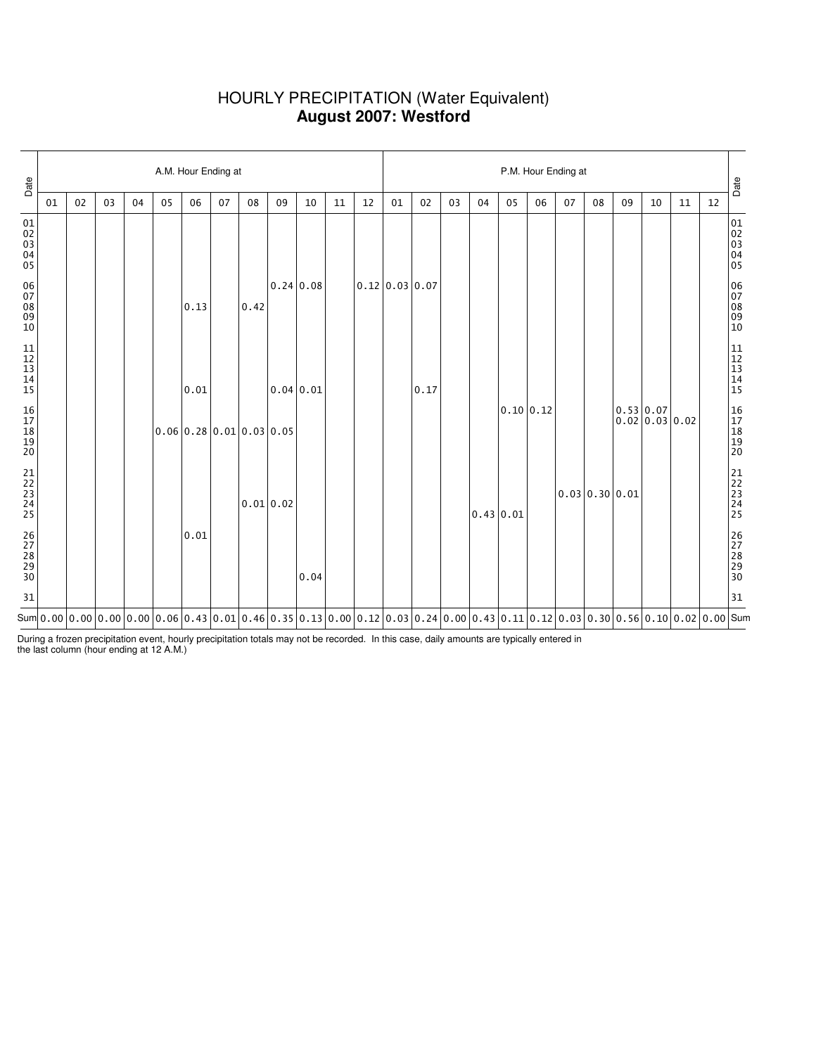### HOURLY PRECIPITATION (Water Equivalent) **August 2007: Westford**

| Date                                                      | A.M. Hour Ending at |    |    |    |    |      |    |                                                |           |                                                                                                                                         |    |    |                | P.M. Hour Ending at |    |    |                |    |    |                |    |                                         |    |    |                                                           |  |  |
|-----------------------------------------------------------|---------------------|----|----|----|----|------|----|------------------------------------------------|-----------|-----------------------------------------------------------------------------------------------------------------------------------------|----|----|----------------|---------------------|----|----|----------------|----|----|----------------|----|-----------------------------------------|----|----|-----------------------------------------------------------|--|--|
|                                                           | 01                  | 02 | 03 | 04 | 05 | 06   | 07 | 08                                             | 09        | 10                                                                                                                                      | 11 | 12 | 01             | 02                  | 03 | 04 | 05             | 06 | 07 | 08             | 09 | 10                                      | 11 | 12 | Date                                                      |  |  |
| 01<br>02<br>03<br>04<br>05                                |                     |    |    |    |    |      |    |                                                |           |                                                                                                                                         |    |    |                |                     |    |    |                |    |    |                |    |                                         |    |    | 01<br>02<br>03<br>04<br>04<br>05                          |  |  |
| 06<br>07<br>08<br>09<br>10                                |                     |    |    |    |    | 0.13 |    | 0.42                                           |           | 0.24 0.08                                                                                                                               |    |    | 0.12 0.03 0.07 |                     |    |    |                |    |    |                |    |                                         |    |    | 06<br>07<br>08<br>09<br>09<br>10                          |  |  |
| $\begin{array}{c} 11 \\ 12 \\ 13 \\ 14 \\ 15 \end{array}$ |                     |    |    |    |    | 0.01 |    |                                                |           | 0.04 0.01                                                                                                                               |    |    |                | 0.17                |    |    |                |    |    |                |    |                                         |    |    | $\begin{array}{c} 11 \\ 12 \\ 13 \\ 14 \\ 15 \end{array}$ |  |  |
| 16<br>17<br>18<br>19<br>19<br>20                          |                     |    |    |    |    |      |    | $0.06 \mid 0.28 \mid 0.01 \mid 0.03 \mid 0.05$ |           |                                                                                                                                         |    |    |                |                     |    |    | 0.10 0.12      |    |    |                |    | 0.53 0.07<br>$0.02 \mid 0.03 \mid 0.02$ |    |    | 16<br>17<br>18<br>19<br>19<br>20                          |  |  |
| 21<br>22<br>23<br>24<br>25                                |                     |    |    |    |    |      |    |                                                | 0.01 0.02 |                                                                                                                                         |    |    |                |                     |    |    | $0.43 \, 0.01$ |    |    | 0.03 0.30 0.01 |    |                                         |    |    | 21<br>22<br>23<br>24<br>24<br>25                          |  |  |
| 26<br>27<br>28<br>29<br>29<br>30                          |                     |    |    |    |    | 0.01 |    |                                                |           | 0.04                                                                                                                                    |    |    |                |                     |    |    |                |    |    |                |    |                                         |    |    | 26<br>27<br>28<br>29<br>29<br>30                          |  |  |
| 31                                                        |                     |    |    |    |    |      |    |                                                |           |                                                                                                                                         |    |    |                |                     |    |    |                |    |    |                |    |                                         |    |    | 31                                                        |  |  |
|                                                           |                     |    |    |    |    |      |    |                                                |           | Sum $ 0.00 0.00 0.00 0.00 0.06 0.43 0.01 0.46 0.35 0.13 0.00 0.12 0.03 0.24 0.00 0.43 0.11 0.12 0.03 0.30 0.30 0.56 0.10 0.02 0.00 Sum$ |    |    |                |                     |    |    |                |    |    |                |    |                                         |    |    |                                                           |  |  |

During a frozen precipitation event, hourly precipitation totals may not be recorded. In this case, daily amounts are typically entered in the last column (hour ending at 12 A.M.)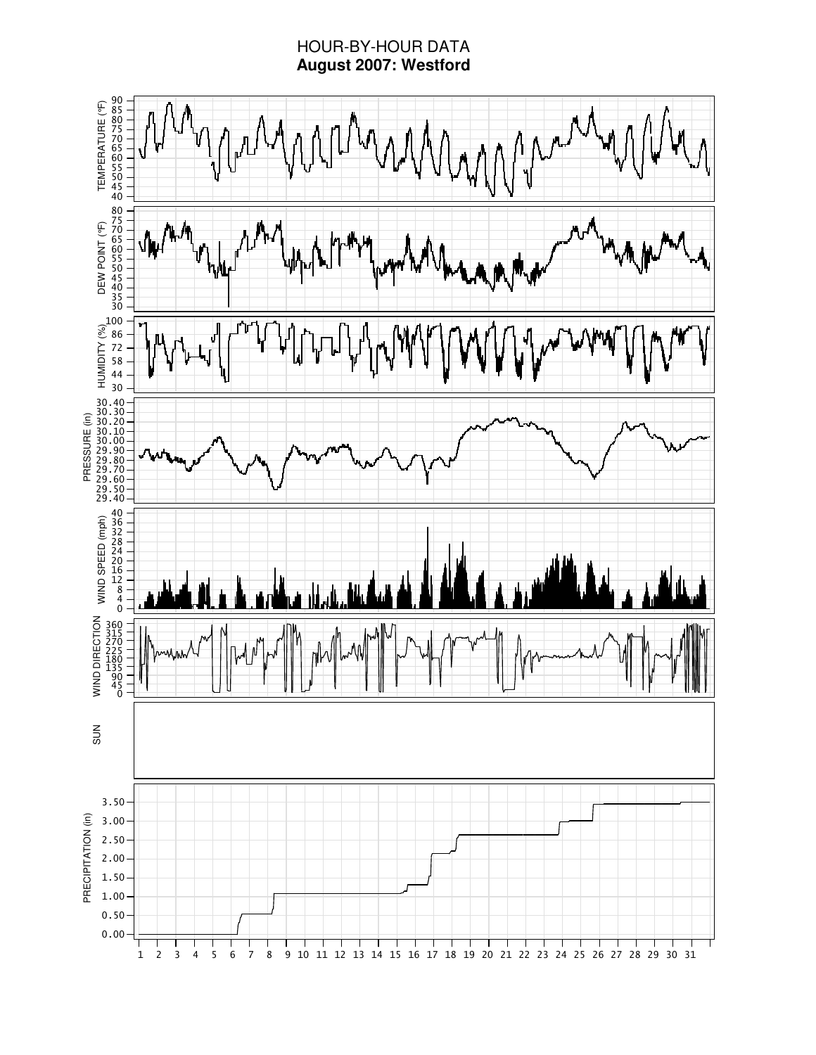# HOUR-BY-HOUR DATA **August 2007: Westford**